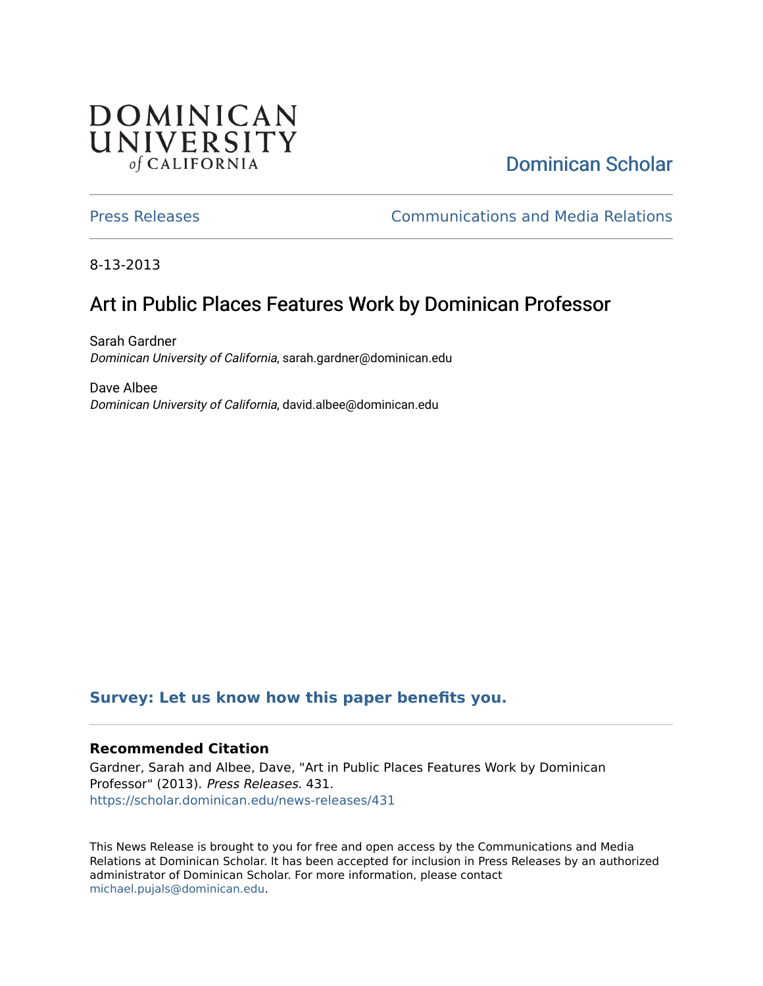# **DOMINICAN** UNIVERSITY of CALIFORNIA

# [Dominican Scholar](https://scholar.dominican.edu/)

[Press Releases](https://scholar.dominican.edu/news-releases) [Communications and Media Relations](https://scholar.dominican.edu/communications-media) 

8-13-2013

# Art in Public Places Features Work by Dominican Professor

Sarah Gardner Dominican University of California, sarah.gardner@dominican.edu

Dave Albee Dominican University of California, david.albee@dominican.edu

#### **[Survey: Let us know how this paper benefits you.](https://dominican.libwizard.com/dominican-scholar-feedback)**

#### **Recommended Citation**

Gardner, Sarah and Albee, Dave, "Art in Public Places Features Work by Dominican Professor" (2013). Press Releases. 431. [https://scholar.dominican.edu/news-releases/431](https://scholar.dominican.edu/news-releases/431?utm_source=scholar.dominican.edu%2Fnews-releases%2F431&utm_medium=PDF&utm_campaign=PDFCoverPages)

This News Release is brought to you for free and open access by the Communications and Media Relations at Dominican Scholar. It has been accepted for inclusion in Press Releases by an authorized administrator of Dominican Scholar. For more information, please contact [michael.pujals@dominican.edu.](mailto:michael.pujals@dominican.edu)